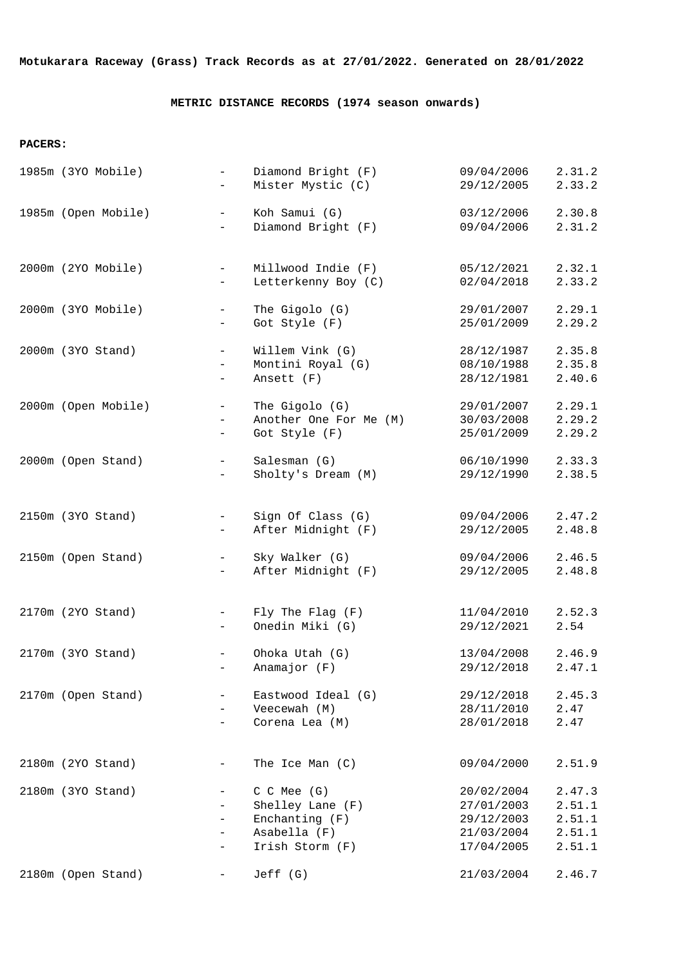**Motukarara Raceway (Grass) Track Records as at 27/01/2022. Generated on 28/01/2022**

## **METRIC DISTANCE RECORDS (1974 season onwards)**

## **PACERS:**

| 1985m (3YO Mobile)  | Diamond Bright (F)<br>$\equiv$<br>Mister Mystic (C)<br>$-$                                                                                             | 09/04/2006<br>29/12/2005                                           | 2.31.2<br>2.33.2                               |
|---------------------|--------------------------------------------------------------------------------------------------------------------------------------------------------|--------------------------------------------------------------------|------------------------------------------------|
| 1985m (Open Mobile) | Koh Samui (G)<br>$\sim$<br>Diamond Bright (F)                                                                                                          | 03/12/2006<br>09/04/2006                                           | 2.30.8<br>2.31.2                               |
| 2000m (2YO Mobile)  | Millwood Indie (F)<br>$\equiv$<br>Letterkenny Boy (C)<br>$\overline{\phantom{0}}$                                                                      | 05/12/2021<br>02/04/2018                                           | 2.32.1<br>2.33.2                               |
| 2000m (3YO Mobile)  | The Gigolo (G)<br>$-$<br>Got Style (F)<br>-                                                                                                            | 29/01/2007<br>25/01/2009                                           | 2.29.1<br>2.29.2                               |
| 2000m (3YO Stand)   | Willem Vink (G)<br>$-$<br>Montini Royal (G)<br>$\overline{\phantom{0}}$<br>Ansett (F)<br>$\overline{\phantom{0}}$                                      | 28/12/1987<br>08/10/1988<br>28/12/1981                             | 2.35.8<br>2.35.8<br>2.40.6                     |
| 2000m (Open Mobile) | The Gigolo (G)<br>$\equiv$<br>$\equiv$<br>Got Style (F)<br>$\overline{\phantom{0}}$                                                                    | 29/01/2007<br>Another One For Me (M)<br>30/03/2008<br>25/01/2009   | 2.29.1<br>2.29.2<br>2.29.2                     |
| 2000m (Open Stand)  | Salesman (G)<br>$-$<br>Sholty's Dream (M)<br>$\overline{\phantom{0}}$                                                                                  | 06/10/1990<br>29/12/1990                                           | 2.33.3<br>2.38.5                               |
| 2150m (3YO Stand)   | Sign Of Class (G)<br>$\overline{\phantom{a}}$<br>After Midnight (F)<br>-                                                                               | 09/04/2006<br>29/12/2005                                           | 2.47.2<br>2.48.8                               |
| 2150m (Open Stand)  | Sky Walker (G)<br>$\qquad \qquad -$<br>After Midnight (F)<br>-                                                                                         | 09/04/2006<br>29/12/2005                                           | 2.46.5<br>2.48.8                               |
| 2170m (2YO Stand)   | $Fly$ The Flag $(F)$<br>$\overline{\phantom{a}}$<br>Onedin Miki (G)<br>$\overline{\phantom{0}}$                                                        | 11/04/2010<br>29/12/2021                                           | 2.52.3<br>2.54                                 |
| 2170m (3YO Stand)   | Ohoka Utah (G)<br>$\qquad \qquad -$<br>Anamajor (F)<br>-                                                                                               | 13/04/2008<br>29/12/2018                                           | 2.46.9<br>2.47.1                               |
| 2170m (Open Stand)  | Eastwood Ideal (G)<br>Veecewah (M)<br>Corena Lea (M)                                                                                                   | 29/12/2018<br>28/11/2010<br>28/01/2018                             | 2.45.3<br>2.47<br>2.47                         |
| 2180m (2YO Stand)   | The Ice Man (C)                                                                                                                                        | 09/04/2000                                                         | 2.51.9                                         |
| 2180m (3YO Stand)   | C C Mee (G)<br>-<br>Shelley Lane (F)<br>$\overline{\phantom{0}}$<br>Enchanting (F)<br>$\overline{\phantom{0}}$<br>Asabella (F)<br>-<br>Irish Storm (F) | 20/02/2004<br>27/01/2003<br>29/12/2003<br>21/03/2004<br>17/04/2005 | 2.47.3<br>2.51.1<br>2.51.1<br>2.51.1<br>2.51.1 |
| 2180m (Open Stand)  | Jeff (G)<br>$\qquad \qquad -$                                                                                                                          | 21/03/2004                                                         | 2.46.7                                         |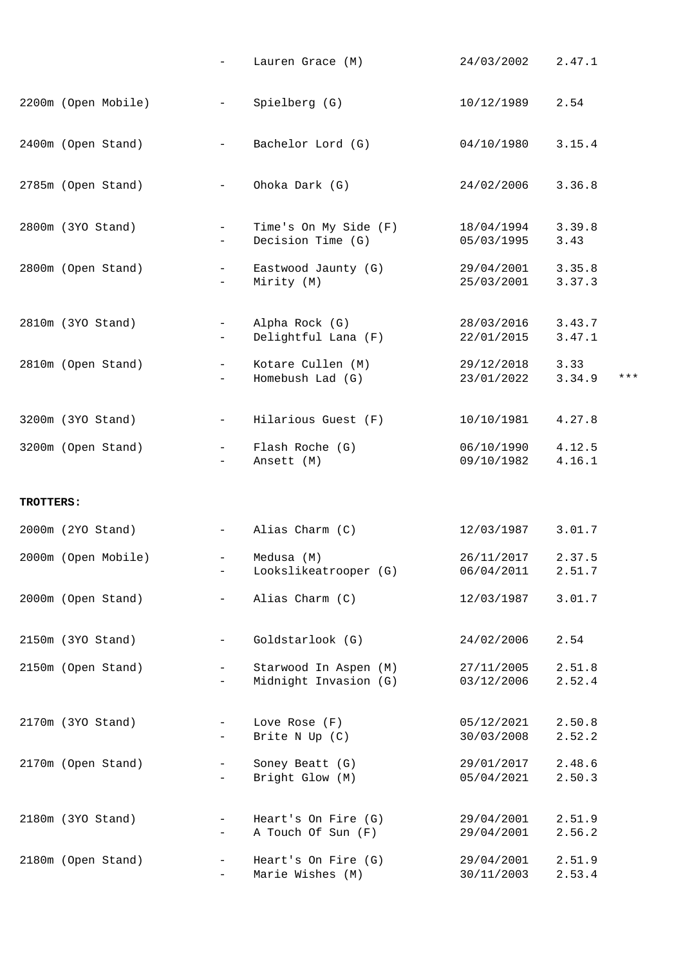|           |                     |                                                      | Lauren Grace (M)                               | 24/03/2002               | 2.47.1           |       |
|-----------|---------------------|------------------------------------------------------|------------------------------------------------|--------------------------|------------------|-------|
|           | 2200m (Open Mobile) | $\overline{\phantom{m}}$                             | Spielberg (G)                                  | 10/12/1989               | 2.54             |       |
|           | 2400m (Open Stand)  |                                                      | Bachelor Lord (G)                              | $04/10/1980$ 3.15.4      |                  |       |
|           | 2785m (Open Stand)  | $\equiv$                                             | Ohoka Dark (G)                                 | 24/02/2006               | 3.36.8           |       |
|           | 2800m (3YO Stand)   | $-$                                                  | Time's On My Side (F)<br>Decision Time (G)     | 18/04/1994<br>05/03/1995 | 3.39.8<br>3.43   |       |
|           | 2800m (Open Stand)  | $ \,$                                                | Eastwood Jaunty (G)<br>Mirity (M)              | 29/04/2001<br>25/03/2001 | 3.35.8<br>3.37.3 |       |
|           | 2810m (3YO Stand)   | $\overline{\phantom{m}}$                             | Alpha Rock (G)<br>Delightful Lana (F)          | 28/03/2016<br>22/01/2015 | 3.43.7<br>3.47.1 |       |
|           | 2810m (Open Stand)  | $\overline{\phantom{a}}$                             | Kotare Cullen (M)<br>Homebush Lad (G)          | 29/12/2018<br>23/01/2022 | 3.33<br>3.34.9   | $***$ |
|           | 3200m (3YO Stand)   | $\overline{\phantom{a}}$                             | Hilarious Guest (F)                            | 10/10/1981               | 4.27.8           |       |
|           | 3200m (Open Stand)  | $-$                                                  | Flash Roche (G)<br>Ansett (M)                  | 06/10/1990<br>09/10/1982 | 4.12.5<br>4.16.1 |       |
| TROTTERS: |                     |                                                      |                                                |                          |                  |       |
|           | 2000m (2YO Stand)   | $ \,$                                                | Alias Charm (C)                                | 12/03/1987 3.01.7        |                  |       |
|           | 2000m (Open Mobile) | $\overline{\phantom{0}}$                             | Medusa (M)<br>Lookslikeatrooper (G)            | 26/11/2017<br>06/04/2011 | 2.37.5<br>2.51.7 |       |
|           | 2000m (Open Stand)  | $\overline{\phantom{m}}$                             | Alias Charm (C)                                | 12/03/1987               | 3.01.7           |       |
|           | 2150m (3YO Stand)   | $\overline{\phantom{m}}$                             | Goldstarlook (G)                               | 24/02/2006               | 2.54             |       |
|           | 2150m (Open Stand)  | $\overline{\phantom{a}}$<br>$\qquad \qquad -$        | Starwood In Aspen (M)<br>Midnight Invasion (G) | 27/11/2005<br>03/12/2006 | 2.51.8<br>2.52.4 |       |
|           | 2170m (3YO Stand)   | $\overline{\phantom{a}}$<br>-                        | Love Rose (F)<br>Brite N Up (C)                | 05/12/2021<br>30/03/2008 | 2.50.8<br>2.52.2 |       |
|           | 2170m (Open Stand)  | $\overline{\phantom{a}}$<br>$\overline{\phantom{a}}$ | Soney Beatt (G)<br>Bright Glow (M)             | 29/01/2017<br>05/04/2021 | 2.48.6<br>2.50.3 |       |
|           | 2180m (3YO Stand)   | $\overline{\phantom{a}}$<br>-                        | Heart's On Fire (G)<br>A Touch Of Sun (F)      | 29/04/2001<br>29/04/2001 | 2.51.9<br>2.56.2 |       |
|           | 2180m (Open Stand)  | $\overline{\phantom{a}}$<br>$\overline{\phantom{a}}$ | Heart's On Fire (G)<br>Marie Wishes (M)        | 29/04/2001<br>30/11/2003 | 2.51.9<br>2.53.4 |       |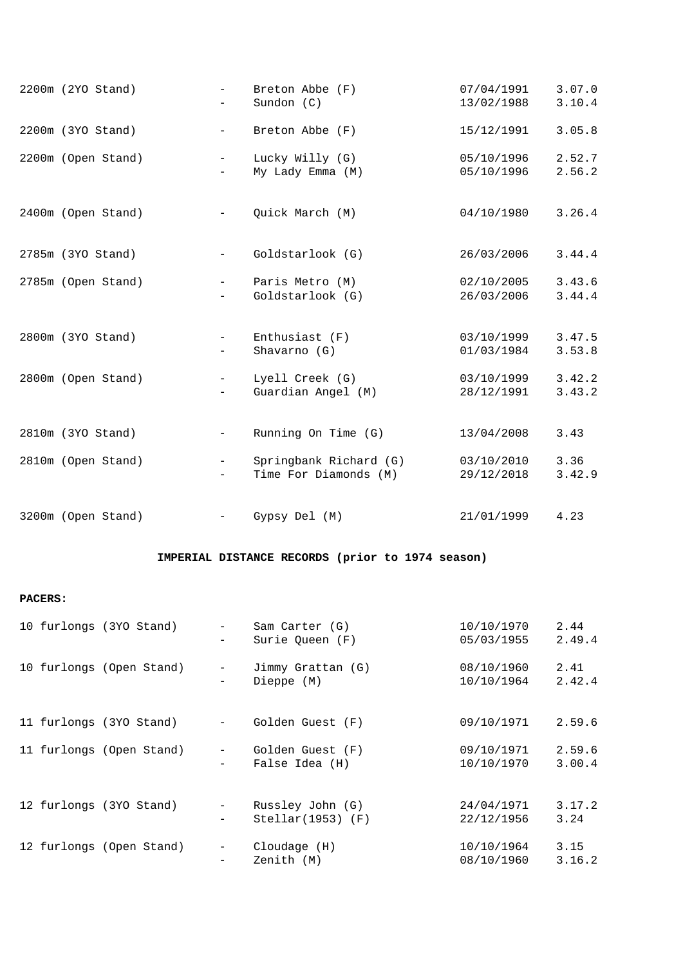| 2200m (2YO Stand)  | $\equiv$                 | Breton Abbe (F)        | 07/04/1991 | 3.07.0 |
|--------------------|--------------------------|------------------------|------------|--------|
|                    | $-$                      | Sundon $(C)$           | 13/02/1988 | 3.10.4 |
| 2200m (3YO Stand)  | $\overline{\phantom{m}}$ | Breton Abbe (F)        | 15/12/1991 | 3.05.8 |
| 2200m (Open Stand) | $\sim$                   | Lucky Willy (G)        | 05/10/1996 | 2.52.7 |
|                    | $\qquad \qquad -$        | My Lady Emma (M)       | 05/10/1996 | 2.56.2 |
| 2400m (Open Stand) | $\overline{\phantom{0}}$ | Quick March (M)        | 04/10/1980 | 3.26.4 |
| 2785m (3YO Stand)  | $\overline{\phantom{m}}$ | Goldstarlook (G)       | 26/03/2006 | 3.44.4 |
| 2785m (Open Stand) | $ -$                     | Paris Metro (M)        | 02/10/2005 | 3.43.6 |
|                    |                          | Goldstarlook (G)       | 26/03/2006 | 3.44.4 |
| 2800m (3YO Stand)  | $\overline{\phantom{0}}$ | Enthusiast $(F)$       | 03/10/1999 | 3.47.5 |
|                    | $\overline{\phantom{0}}$ | Shavarno (G)           | 01/03/1984 | 3.53.8 |
| 2800m (Open Stand) | $\overline{\phantom{0}}$ | Lyell Creek (G)        | 03/10/1999 | 3.42.2 |
|                    | $-$                      | Guardian Angel (M)     | 28/12/1991 | 3.43.2 |
| 2810m (3YO Stand)  | $\overline{\phantom{m}}$ | Running On Time (G)    | 13/04/2008 | 3.43   |
| 2810m (Open Stand) | $\overline{\phantom{0}}$ | Springbank Richard (G) | 03/10/2010 | 3.36   |
|                    | $\equiv$                 | Time For Diamonds (M)  | 29/12/2018 | 3.42.9 |
| 3200m (Open Stand) | $-$                      | Gypsy Del (M)          | 21/01/1999 | 4.23   |
|                    |                          |                        |            |        |

## **IMPERIAL DISTANCE RECORDS (prior to 1974 season)**

## **PACERS:**

|  | 10 furlongs (3YO Stand)  | $-$<br>-                                      | Sam Carter (G)<br>Surie Queen (F)       | 10/10/1970<br>05/03/1955 | 2.44<br>2.49.4   |
|--|--------------------------|-----------------------------------------------|-----------------------------------------|--------------------------|------------------|
|  | 10 furlongs (Open Stand) | $\qquad \qquad -$<br>$\overline{\phantom{0}}$ | Jimmy Grattan (G)<br>Dieppe (M)         | 08/10/1960<br>10/10/1964 | 2.41<br>2.42.4   |
|  | 11 furlongs (3YO Stand)  | $\overline{\phantom{a}}$                      | Golden Guest (F)                        | 09/10/1971               | 2.59.6           |
|  | 11 furlongs (Open Stand) | $\sim 100$<br>$\equiv$                        | Golden Guest (F)<br>False Idea (H)      | 09/10/1971<br>10/10/1970 | 2.59.6<br>3.00.4 |
|  | 12 furlongs (3YO Stand)  | $-$<br>-                                      | Russley John (G)<br>$Stellar(1953)$ (F) | 24/04/1971<br>22/12/1956 | 3.17.2<br>3.24   |
|  | 12 furlongs (Open Stand) | $-$<br>-                                      | Cloudage(H)<br>Zenith (M)               | 10/10/1964<br>08/10/1960 | 3.15<br>3.16.2   |